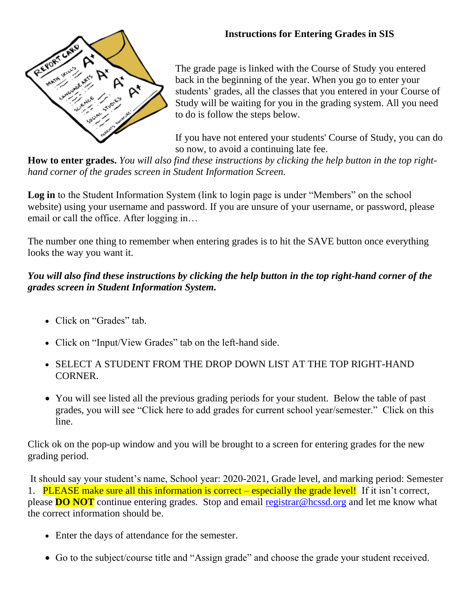

## **Instructions for Entering Grades in SIS**

The grade page is linked with the Course of Study you entered back in the beginning of the year. When you go to enter your students' grades, all the classes that you entered in your Course of Study will be waiting for you in the grading system. All you need to do is follow the steps below.

If you have not entered your students' Course of Study, you can do so now, to avoid a continuing late fee.

**How to enter grades.** *You will also find these instructions by clicking the help button in the top righthand corner of the grades screen in Student Information Screen.*

Log in to the Student Information System (link to login page is under "Members" on the school website) using your username and password. If you are unsure of your username, or password, please email or call the office. After logging in…

The number one thing to remember when entering grades is to hit the SAVE button once everything looks the way you want it.

## *You will also find these instructions by clicking the help button in the top right-hand corner of the grades screen in Student Information System.*

- Click on "Grades" tab.
- Click on "Input/View Grades" tab on the left-hand side.
- SELECT A STUDENT FROM THE DROP DOWN LIST AT THE TOP RIGHT-HAND CORNER.
- You will see listed all the previous grading periods for your student. Below the table of past grades, you will see "Click here to add grades for current school year/semester." Click on this line.

Click ok on the pop-up window and you will be brought to a screen for entering grades for the new grading period.

It should say your student's name, School year: 2020-2021, Grade level, and marking period: Semester 1. PLEASE make sure all this information is correct – especially the grade level! If it isn't correct, please **DO NOT** continue entering grades. Stop and email [registrar@hcssd.org](mailto:registrar@hcssd.org) and let me know what the correct information should be.

- Enter the days of attendance for the semester.
- Go to the subject/course title and "Assign grade" and choose the grade your student received.